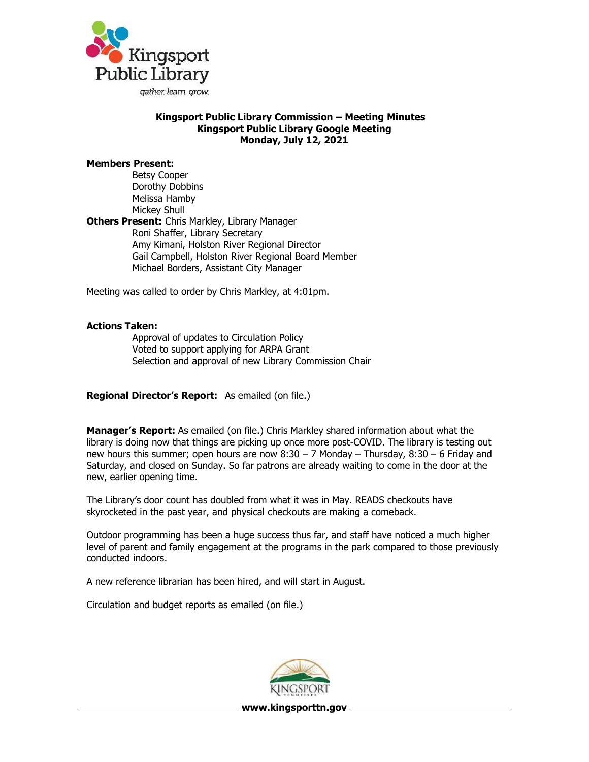

## **Kingsport Public Library Commission – Meeting Minutes Kingsport Public Library Google Meeting Monday, July 12, 2021**

## **Members Present:**

Betsy Cooper Dorothy Dobbins Melissa Hamby Mickey Shull **Others Present:** Chris Markley, Library Manager Roni Shaffer, Library Secretary Amy Kimani, Holston River Regional Director Gail Campbell, Holston River Regional Board Member Michael Borders, Assistant City Manager

Meeting was called to order by Chris Markley, at 4:01pm.

## **Actions Taken:**

Approval of updates to Circulation Policy Voted to support applying for ARPA Grant Selection and approval of new Library Commission Chair

## **Regional Director's Report:** As emailed (on file.)

**Manager's Report:** As emailed (on file.) Chris Markley shared information about what the library is doing now that things are picking up once more post-COVID. The library is testing out new hours this summer; open hours are now  $8:30 - 7$  Monday – Thursday,  $8:30 - 6$  Friday and Saturday, and closed on Sunday. So far patrons are already waiting to come in the door at the new, earlier opening time.

The Library's door count has doubled from what it was in May. READS checkouts have skyrocketed in the past year, and physical checkouts are making a comeback.

Outdoor programming has been a huge success thus far, and staff have noticed a much higher level of parent and family engagement at the programs in the park compared to those previously conducted indoors.

A new reference librarian has been hired, and will start in August.

Circulation and budget reports as emailed (on file.)



**www.kingsporttn.gov**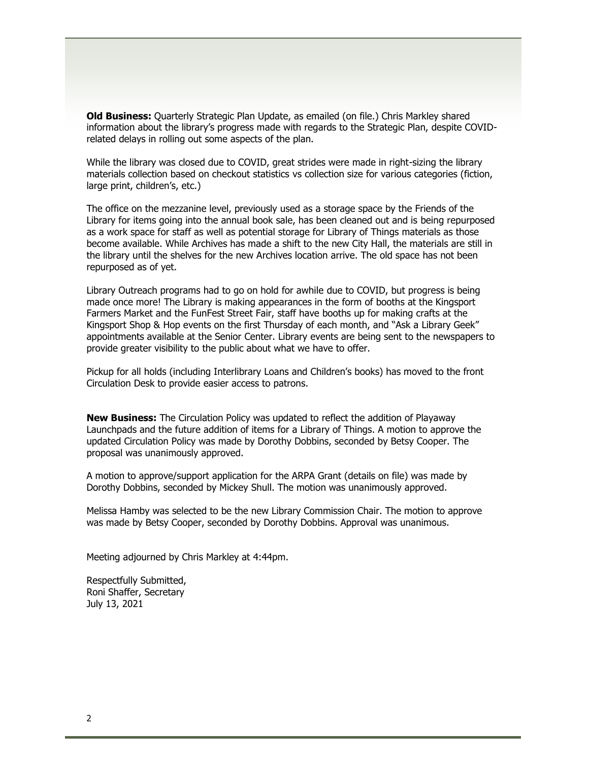**Old Business:** Quarterly Strategic Plan Update, as emailed (on file.) Chris Markley shared information about the library's progress made with regards to the Strategic Plan, despite COVIDrelated delays in rolling out some aspects of the plan.

While the library was closed due to COVID, great strides were made in right-sizing the library materials collection based on checkout statistics vs collection size for various categories (fiction, large print, children's, etc.)

The office on the mezzanine level, previously used as a storage space by the Friends of the Library for items going into the annual book sale, has been cleaned out and is being repurposed as a work space for staff as well as potential storage for Library of Things materials as those become available. While Archives has made a shift to the new City Hall, the materials are still in the library until the shelves for the new Archives location arrive. The old space has not been repurposed as of yet.

Library Outreach programs had to go on hold for awhile due to COVID, but progress is being made once more! The Library is making appearances in the form of booths at the Kingsport Farmers Market and the FunFest Street Fair, staff have booths up for making crafts at the Kingsport Shop & Hop events on the first Thursday of each month, and "Ask a Library Geek" appointments available at the Senior Center. Library events are being sent to the newspapers to provide greater visibility to the public about what we have to offer.

Pickup for all holds (including Interlibrary Loans and Children's books) has moved to the front Circulation Desk to provide easier access to patrons.

**New Business:** The Circulation Policy was updated to reflect the addition of Playaway Launchpads and the future addition of items for a Library of Things. A motion to approve the updated Circulation Policy was made by Dorothy Dobbins, seconded by Betsy Cooper. The proposal was unanimously approved.

A motion to approve/support application for the ARPA Grant (details on file) was made by Dorothy Dobbins, seconded by Mickey Shull. The motion was unanimously approved.

Melissa Hamby was selected to be the new Library Commission Chair. The motion to approve was made by Betsy Cooper, seconded by Dorothy Dobbins. Approval was unanimous.

Meeting adjourned by Chris Markley at 4:44pm.

Respectfully Submitted, Roni Shaffer, Secretary July 13, 2021